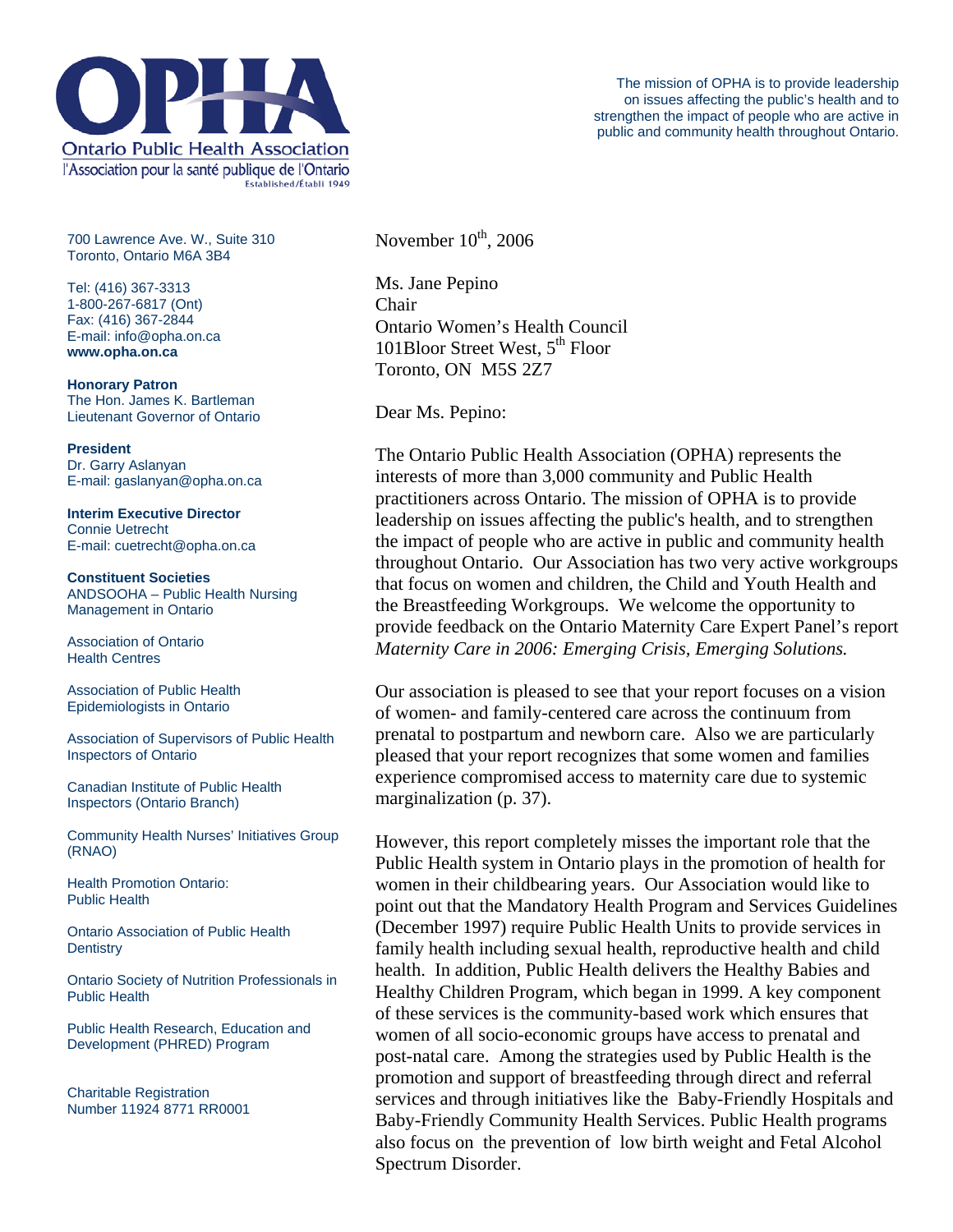

700 Lawrence Ave. W., Suite 310 Toronto, Ontario M6A 3B4

Tel: (416) 367-3313 1-800-267-6817 (Ont) Fax: (416) 367-2844 E-mail: info@opha.on.ca **www.opha.on.ca** 

**Honorary Patron**  The Hon. James K. Bartleman Lieutenant Governor of Ontario

**President**  Dr. Garry Aslanyan E-mail: gaslanyan@opha.on.ca

**Interim Executive Director**  Connie Uetrecht E-mail: cuetrecht@opha.on.ca

**Constituent Societies**  ANDSOOHA – Public Health Nursing Management in Ontario

Association of Ontario Health Centres

Association of Public Health Epidemiologists in Ontario

Association of Supervisors of Public Health Inspectors of Ontario

Canadian Institute of Public Health Inspectors (Ontario Branch)

Community Health Nurses' Initiatives Group (RNAO)

Health Promotion Ontario: Public Health

Ontario Association of Public Health **Dentistry** 

Ontario Society of Nutrition Professionals in Public Health

Public Health Research, Education and Development (PHRED) Program

Charitable Registration Number 11924 8771 RR0001 November  $10^{\text{th}}$ , 2006

Ms. Jane Pepino Chair Ontario Women's Health Council 101Bloor Street West,  $5<sup>th</sup>$  Floor Toronto, ON M5S 2Z7

Dear Ms. Pepino:

The Ontario Public Health Association (OPHA) represents the interests of more than 3,000 community and Public Health practitioners across Ontario. The mission of OPHA is to provide leadership on issues affecting the public's health, and to strengthen the impact of people who are active in public and community health throughout Ontario. Our Association has two very active workgroups that focus on women and children, the Child and Youth Health and the Breastfeeding Workgroups. We welcome the opportunity to provide feedback on the Ontario Maternity Care Expert Panel's report *Maternity Care in 2006: Emerging Crisis, Emerging Solutions.* 

Our association is pleased to see that your report focuses on a vision of women- and family-centered care across the continuum from prenatal to postpartum and newborn care. Also we are particularly pleased that your report recognizes that some women and families experience compromised access to maternity care due to systemic marginalization (p. 37).

However, this report completely misses the important role that the Public Health system in Ontario plays in the promotion of health for women in their childbearing years. Our Association would like to point out that the Mandatory Health Program and Services Guidelines (December 1997) require Public Health Units to provide services in family health including sexual health, reproductive health and child health. In addition, Public Health delivers the Healthy Babies and Healthy Children Program, which began in 1999. A key component of these services is the community-based work which ensures that women of all socio-economic groups have access to prenatal and post-natal care. Among the strategies used by Public Health is the promotion and support of breastfeeding through direct and referral services and through initiatives like the Baby-Friendly Hospitals and Baby-Friendly Community Health Services. Public Health programs also focus on the prevention of low birth weight and Fetal Alcohol Spectrum Disorder.